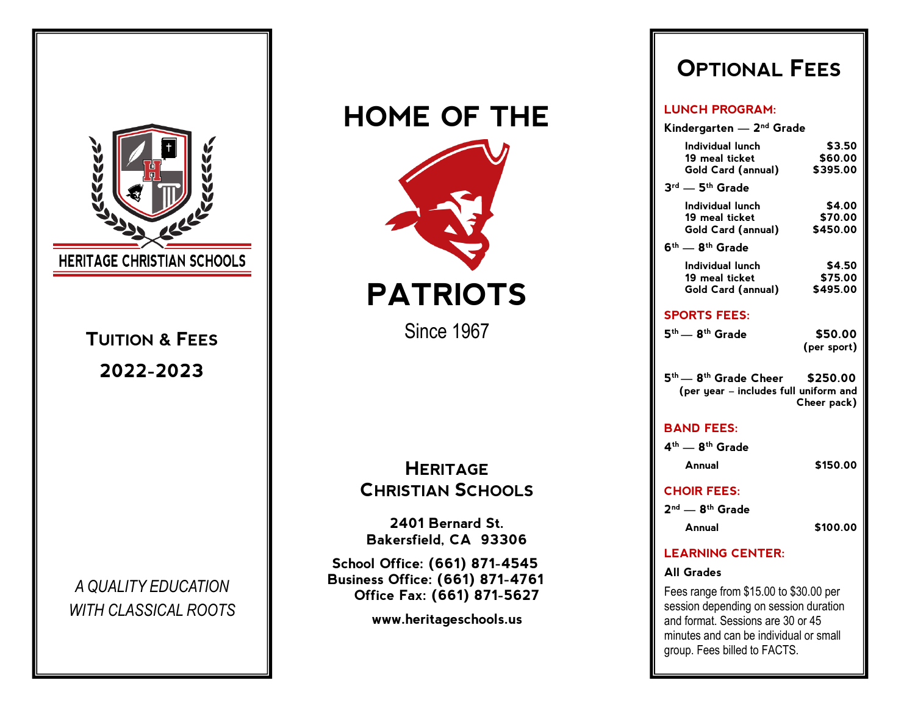

# **HOME OF THE PATRIOTS** Since 1967 **HERITAGE CHRISTIAN SCHOOLS 2401 Bernard St. Bakersfield, CA 93306 School Office: (661) 871-4545 Business Office: (661) 871-4761 Office Fax: (661) 871-5627**

**www.heritageschools.us**

## **OPTIONAL FEES**

#### **LUNCH PROGRAM:**

| Kindergarten — 2 <sup>nd</sup> Grade                                                                 |  |
|------------------------------------------------------------------------------------------------------|--|
| Individual lunch<br>\$3.50                                                                           |  |
| 19 meal ticket<br>\$60.00<br>\$395.00                                                                |  |
| Gold Card (annual)                                                                                   |  |
| $3^{rd}$ - $5^{th}$ Grade                                                                            |  |
| Individual lunch<br>\$4.00                                                                           |  |
| 19 meal ticket<br>\$70.00<br>\$450.00<br>Gold Card (annual)                                          |  |
| $6th$ - $8th$ Grade                                                                                  |  |
| Individual lunch<br>\$4.50                                                                           |  |
| \$75.00<br>19 meal ticket                                                                            |  |
| \$495.00<br>Gold Card (annual)                                                                       |  |
| <b>SPORTS FEES:</b>                                                                                  |  |
| 5 <sup>th</sup> — 8 <sup>th</sup> Grade<br>\$50.00                                                   |  |
| (per sport)                                                                                          |  |
| $5th$ - 8 <sup>th</sup> Grade Cheer \$250.00<br>(per year - includes full uniform and<br>Cheer pack) |  |
|                                                                                                      |  |
| <b>BAND FEES:</b>                                                                                    |  |
| 4 <sup>th</sup> — 8 <sup>th</sup> Grade                                                              |  |
| \$150.00<br>Annual                                                                                   |  |
| <b>CHOIR FEES:</b>                                                                                   |  |
|                                                                                                      |  |
| $2nd$ $-$ 8 <sup>th</sup> Grade                                                                      |  |
| \$100.00<br>Annual                                                                                   |  |
| <b>LEARNING CENTER:</b>                                                                              |  |
| <b>All Grades</b>                                                                                    |  |

and format. Sessions are 30 or 45 minutes and can be individual or small group. Fees billed to FACTS.